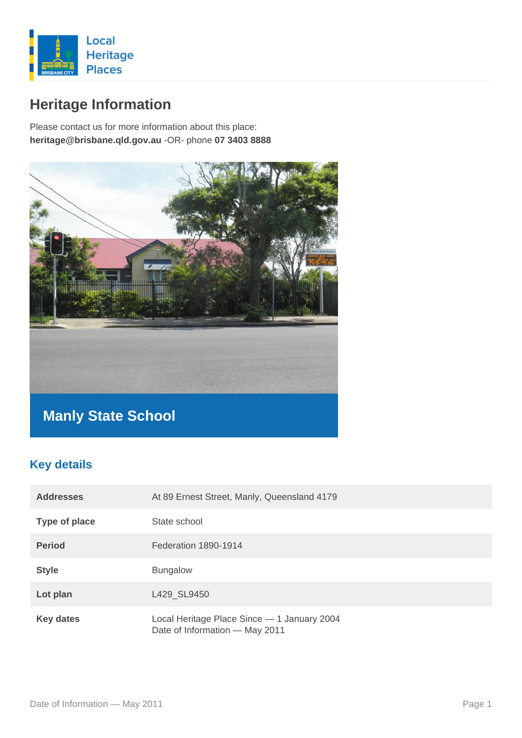

# **Heritage Information**

Please contact us for more information about this place: **heritage@brisbane.qld.gov.au** -OR- phone **07 3403 8888**



## **Manly State School**

### **Key details**

| <b>Addresses</b> | At 89 Ernest Street, Manly, Queensland 4179                                   |
|------------------|-------------------------------------------------------------------------------|
| Type of place    | State school                                                                  |
| <b>Period</b>    | Federation 1890-1914                                                          |
| <b>Style</b>     | <b>Bungalow</b>                                                               |
| Lot plan         | L429_SL9450                                                                   |
| <b>Key dates</b> | Local Heritage Place Since - 1 January 2004<br>Date of Information - May 2011 |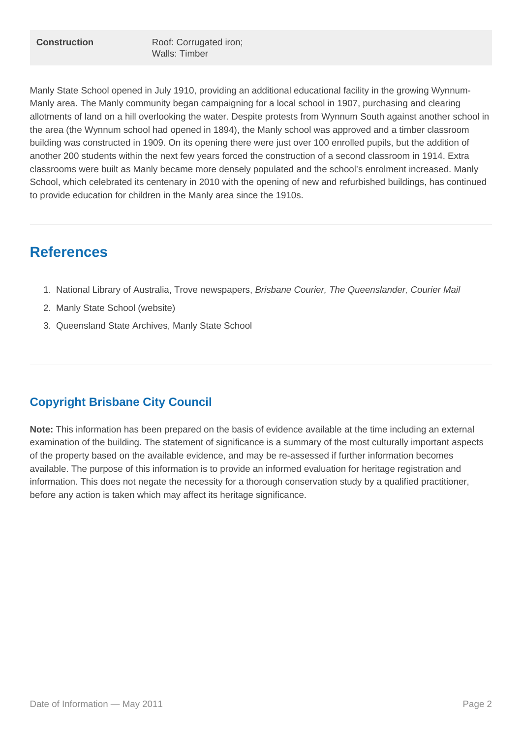Manly State School opened in July 1910, providing an additional educational facility in the growing Wynnum-Manly area. The Manly community began campaigning for a local school in 1907, purchasing and clearing allotments of land on a hill overlooking the water. Despite protests from Wynnum South against another school in the area (the Wynnum school had opened in 1894), the Manly school was approved and a timber classroom building was constructed in 1909. On its opening there were just over 100 enrolled pupils, but the addition of another 200 students within the next few years forced the construction of a second classroom in 1914. Extra classrooms were built as Manly became more densely populated and the school's enrolment increased. Manly School, which celebrated its centenary in 2010 with the opening of new and refurbished buildings, has continued to provide education for children in the Manly area since the 1910s.

### **References**

- 1. National Library of Australia, Trove newspapers, Brisbane Courier, The Queenslander, Courier Mail
- 2. Manly State School (website)
- 3. Queensland State Archives, Manly State School

#### **Copyright Brisbane City Council**

**Note:** This information has been prepared on the basis of evidence available at the time including an external examination of the building. The statement of significance is a summary of the most culturally important aspects of the property based on the available evidence, and may be re-assessed if further information becomes available. The purpose of this information is to provide an informed evaluation for heritage registration and information. This does not negate the necessity for a thorough conservation study by a qualified practitioner, before any action is taken which may affect its heritage significance.